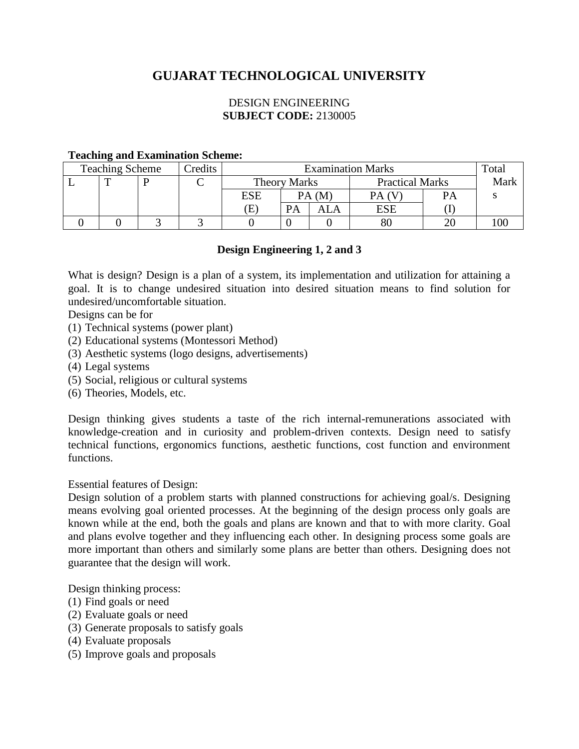# **GUJARAT TECHNOLOGICAL UNIVERSITY**

## DESIGN ENGINEERING **SUBJECT CODE:** 2130005

#### **Teaching and Examination Scheme:**

| <b>Teaching Scheme</b> |  |  | Credits | <b>Examination Marks</b> |       |                        |     |                        | Total |
|------------------------|--|--|---------|--------------------------|-------|------------------------|-----|------------------------|-------|
|                        |  |  |         | <b>Theory Marks</b>      |       | <b>Practical Marks</b> |     | Mark                   |       |
|                        |  |  |         | ESE                      | PA(M) |                        |     | $\mathbf{P}\mathbf{A}$ |       |
|                        |  |  |         | Έ                        | PA    |                        | ESE |                        |       |
|                        |  |  |         |                          |       |                        | 80  |                        | 00    |

#### **Design Engineering 1, 2 and 3**

What is design? Design is a plan of a system, its implementation and utilization for attaining a goal. It is to change undesired situation into desired situation means to find solution for undesired/uncomfortable situation.

Designs can be for

- (1) Technical systems (power plant)
- (2) Educational systems (Montessori Method)
- (3) Aesthetic systems (logo designs, advertisements)
- (4) Legal systems
- (5) Social, religious or cultural systems
- (6) Theories, Models, etc.

Design thinking gives students a taste of the rich internal-remunerations associated with knowledge-creation and in curiosity and problem-driven contexts. Design need to satisfy technical functions, ergonomics functions, aesthetic functions, cost function and environment functions.

Essential features of Design:

Design solution of a problem starts with planned constructions for achieving goal/s. Designing means evolving goal oriented processes. At the beginning of the design process only goals are known while at the end, both the goals and plans are known and that to with more clarity. Goal and plans evolve together and they influencing each other. In designing process some goals are more important than others and similarly some plans are better than others. Designing does not guarantee that the design will work.

Design thinking process:

- (1) Find goals or need
- (2) Evaluate goals or need
- (3) Generate proposals to satisfy goals
- (4) Evaluate proposals
- (5) Improve goals and proposals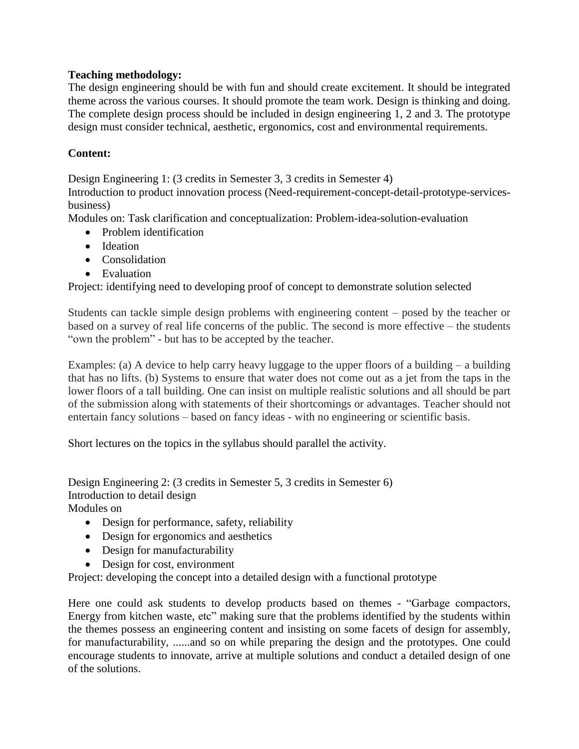## **Teaching methodology:**

The design engineering should be with fun and should create excitement. It should be integrated theme across the various courses. It should promote the team work. Design is thinking and doing. The complete design process should be included in design engineering 1, 2 and 3. The prototype design must consider technical, aesthetic, ergonomics, cost and environmental requirements.

## **Content:**

Design Engineering 1: (3 credits in Semester 3, 3 credits in Semester 4)

Introduction to product innovation process (Need-requirement-concept-detail-prototype-servicesbusiness)

Modules on: Task clarification and conceptualization: Problem-idea-solution-evaluation

- Problem identification
- Ideation
- Consolidation
- Evaluation

Project: identifying need to developing proof of concept to demonstrate solution selected

Students can tackle simple design problems with engineering content – posed by the teacher or based on a survey of real life concerns of the public. The second is more effective – the students "own the problem" - but has to be accepted by the teacher.

Examples: (a) A device to help carry heavy luggage to the upper floors of a building  $-$  a building that has no lifts. (b) Systems to ensure that water does not come out as a jet from the taps in the lower floors of a tall building. One can insist on multiple realistic solutions and all should be part of the submission along with statements of their shortcomings or advantages. Teacher should not entertain fancy solutions – based on fancy ideas - with no engineering or scientific basis.

Short lectures on the topics in the syllabus should parallel the activity.

Design Engineering 2: (3 credits in Semester 5, 3 credits in Semester 6) Introduction to detail design

Modules on

- Design for performance, safety, reliability
- Design for ergonomics and aesthetics
- Design for manufacturability
- Design for cost, environment

Project: developing the concept into a detailed design with a functional prototype

Here one could ask students to develop products based on themes - "Garbage compactors, Energy from kitchen waste, etc" making sure that the problems identified by the students within the themes possess an engineering content and insisting on some facets of design for assembly, for manufacturability, ......and so on while preparing the design and the prototypes. One could encourage students to innovate, arrive at multiple solutions and conduct a detailed design of one of the solutions.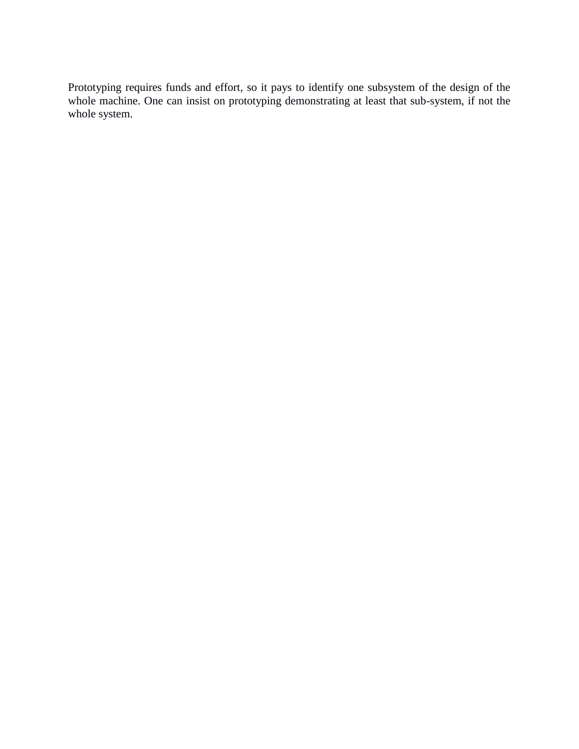Prototyping requires funds and effort, so it pays to identify one subsystem of the design of the whole machine. One can insist on prototyping demonstrating at least that sub-system, if not the whole system.